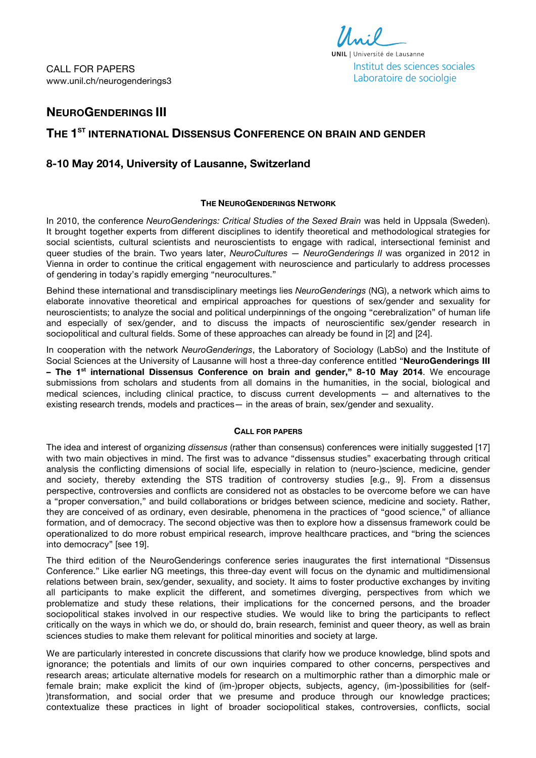CALL FOR PAPERS www.unil.ch/neurogenderings3



# **NEUROGENDERINGS III**

# **THE 1ST INTERNATIONAL DISSENSUS CONFERENCE ON BRAIN AND GENDER**

## **8-10 May 2014, University of Lausanne, Switzerland**

## **THE NEUROGENDERINGS NETWORK**

In 2010, the conference *NeuroGenderings: Critical Studies of the Sexed Brain* was held in Uppsala (Sweden). It brought together experts from different disciplines to identify theoretical and methodological strategies for social scientists, cultural scientists and neuroscientists to engage with radical, intersectional feminist and queer studies of the brain. Two years later, *NeuroCultures — NeuroGenderings II* was organized in 2012 in Vienna in order to continue the critical engagement with neuroscience and particularly to address processes of gendering in today's rapidly emerging "neurocultures."

Behind these international and transdisciplinary meetings lies *NeuroGenderings* (NG), a network which aims to elaborate innovative theoretical and empirical approaches for questions of sex/gender and sexuality for neuroscientists; to analyze the social and political underpinnings of the ongoing "cerebralization" of human life and especially of sex/gender, and to discuss the impacts of neuroscientific sex/gender research in sociopolitical and cultural fields. Some of these approaches can already be found in [2] and [24].

In cooperation with the network *NeuroGenderings*, the Laboratory of Sociology (LabSo) and the Institute of Social Sciences at the University of Lausanne will host a three-day conference entitled "**NeuroGenderings III – The 1st international Dissensus Conference on brain and gender," 8-10 May 2014**. We encourage submissions from scholars and students from all domains in the humanities, in the social, biological and medical sciences, including clinical practice, to discuss current developments — and alternatives to the existing research trends, models and practices— in the areas of brain, sex/gender and sexuality.

### **CALL FOR PAPERS**

The idea and interest of organizing *dissensus* (rather than consensus) conferences were initially suggested [17] with two main objectives in mind. The first was to advance "dissensus studies" exacerbating through critical analysis the conflicting dimensions of social life, especially in relation to (neuro-)science, medicine, gender and society, thereby extending the STS tradition of controversy studies [e.g., 9]. From a dissensus perspective, controversies and conflicts are considered not as obstacles to be overcome before we can have a "proper conversation," and build collaborations or bridges between science, medicine and society. Rather, they are conceived of as ordinary, even desirable, phenomena in the practices of "good science," of alliance formation, and of democracy. The second objective was then to explore how a dissensus framework could be operationalized to do more robust empirical research, improve healthcare practices, and "bring the sciences into democracy" [see 19].

The third edition of the NeuroGenderings conference series inaugurates the first international "Dissensus Conference." Like earlier NG meetings, this three-day event will focus on the dynamic and multidimensional relations between brain, sex/gender, sexuality, and society. It aims to foster productive exchanges by inviting all participants to make explicit the different, and sometimes diverging, perspectives from which we problematize and study these relations, their implications for the concerned persons, and the broader sociopolitical stakes involved in our respective studies. We would like to bring the participants to reflect critically on the ways in which we do, or should do, brain research, feminist and queer theory, as well as brain sciences studies to make them relevant for political minorities and society at large.

We are particularly interested in concrete discussions that clarify how we produce knowledge, blind spots and ignorance; the potentials and limits of our own inquiries compared to other concerns, perspectives and research areas; articulate alternative models for research on a multimorphic rather than a dimorphic male or female brain; make explicit the kind of (im-)proper objects, subjects, agency, (im-)possibilities for (self- )transformation, and social order that we presume and produce through our knowledge practices; contextualize these practices in light of broader sociopolitical stakes, controversies, conflicts, social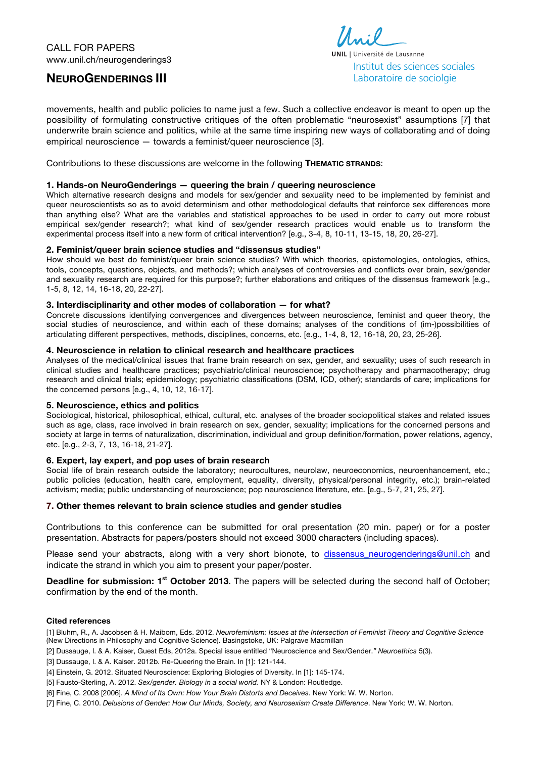# **NEUROGENDERINGS III**



movements, health and public policies to name just a few. Such a collective endeavor is meant to open up the possibility of formulating constructive critiques of the often problematic "neurosexist" assumptions [7] that underwrite brain science and politics, while at the same time inspiring new ways of collaborating and of doing empirical neuroscience — towards a feminist/queer neuroscience [3].

Contributions to these discussions are welcome in the following **THEMATIC STRANDS**:

### **1. Hands-on NeuroGenderings — queering the brain / queering neuroscience**

Which alternative research designs and models for sex/gender and sexuality need to be implemented by feminist and queer neuroscientists so as to avoid determinism and other methodological defaults that reinforce sex differences more than anything else? What are the variables and statistical approaches to be used in order to carry out more robust empirical sex/gender research?; what kind of sex/gender research practices would enable us to transform the experimental process itself into a new form of critical intervention? [e.g., 3-4, 8, 10-11, 13-15, 18, 20, 26-27].

#### **2. Feminist/queer brain science studies and "dissensus studies"**

How should we best do feminist/queer brain science studies? With which theories, epistemologies, ontologies, ethics, tools, concepts, questions, objects, and methods?; which analyses of controversies and conflicts over brain, sex/gender and sexuality research are required for this purpose?; further elaborations and critiques of the dissensus framework [e.g., 1-5, 8, 12, 14, 16-18, 20, 22-27].

#### **3. Interdisciplinarity and other modes of collaboration — for what?**

Concrete discussions identifying convergences and divergences between neuroscience, feminist and queer theory, the social studies of neuroscience, and within each of these domains; analyses of the conditions of (im-)possibilities of articulating different perspectives, methods, disciplines, concerns, etc. [e.g., 1-4, 8, 12, 16-18, 20, 23, 25-26].

#### **4. Neuroscience in relation to clinical research and healthcare practices**

Analyses of the medical/clinical issues that frame brain research on sex, gender, and sexuality; uses of such research in clinical studies and healthcare practices; psychiatric/clinical neuroscience; psychotherapy and pharmacotherapy; drug research and clinical trials; epidemiology; psychiatric classifications (DSM, ICD, other); standards of care; implications for the concerned persons [e.g., 4, 10, 12, 16-17].

#### **5. Neuroscience, ethics and politics**

Sociological, historical, philosophical, ethical, cultural, etc. analyses of the broader sociopolitical stakes and related issues such as age, class, race involved in brain research on sex, gender, sexuality; implications for the concerned persons and society at large in terms of naturalization, discrimination, individual and group definition/formation, power relations, agency, etc. [e.g., 2-3, 7, 13, 16-18, 21-27].

#### **6. Expert, lay expert, and pop uses of brain research**

Social life of brain research outside the laboratory; neurocultures, neurolaw, neuroeconomics, neuroenhancement, etc.; public policies (education, health care, employment, equality, diversity, physical/personal integrity, etc.); brain-related activism; media; public understanding of neuroscience; pop neuroscience literature, etc. [e.g., 5-7, 21, 25, 27].

### **7. Other themes relevant to brain science studies and gender studies**

Contributions to this conference can be submitted for oral presentation (20 min. paper) or for a poster presentation. Abstracts for papers/posters should not exceed 3000 characters (including spaces).

Please send your abstracts, along with a very short bionote, to dissensus\_neurogenderings@unil.ch and indicate the strand in which you aim to present your paper/poster.

**Deadline for submission: 1<sup>st</sup> October 2013**. The papers will be selected during the second half of October; confirmation by the end of the month.

#### **Cited references**

[1] Bluhm, R., A. Jacobsen & H. Maibom, Eds. 2012. *Neurofeminism: Issues at the Intersection of Feminist Theory and Cognitive Science*  (New Directions in Philosophy and Cognitive Science). Basingstoke, UK: Palgrave Macmillan

- [2] Dussauge, I. & A. Kaiser, Guest Eds, 2012a. Special issue entitled "Neuroscience and Sex/Gender.*" Neuroethics* 5(3).
- [3] Dussauge, I. & A. Kaiser. 2012b. Re-Queering the Brain. In [1]: 121-144.
- [4] Einstein, G. 2012. Situated Neuroscience: Exploring Biologies of Diversity. In [1]: 145-174.
- [5] Fausto-Sterling, A. 2012. *Sex/gender. Biology in a social world.* NY & London: Routledge.
- [6] Fine, C. 2008 [2006]. *A Mind of Its Own: How Your Brain Distorts and Deceives*. New York: W. W. Norton.

[7] Fine, C. 2010. *Delusions of Gender: How Our Minds, Society, and Neurosexism Create Difference*. New York: W. W. Norton.